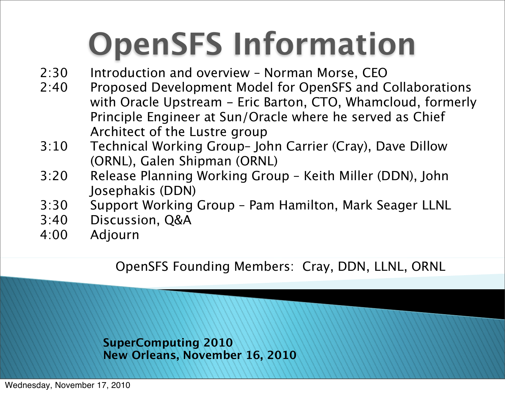# **OpenSFS Information**

- 2:30 Introduction and overview Norman Morse, CEO
- 2:40 Proposed Development Model for OpenSFS and Collaborations with Oracle Upstream - Eric Barton, CTO, Whamcloud, formerly Principle Engineer at Sun/Oracle where he served as Chief Architect of the Lustre group
- 3:10 Technical Working Group– John Carrier (Cray), Dave Dillow (ORNL), Galen Shipman (ORNL)
- 3:20 Release Planning Working Group Keith Miller (DDN), John Josephakis (DDN)
- 3:30 Support Working Group Pam Hamilton, Mark Seager LLNL
- 3:40 Discussion, Q&A
- 4:00 Adjourn

OpenSFS Founding Members: Cray, DDN, LLNL, ORNL

**SuperComputing 2010 New Orleans, November 16, 2010**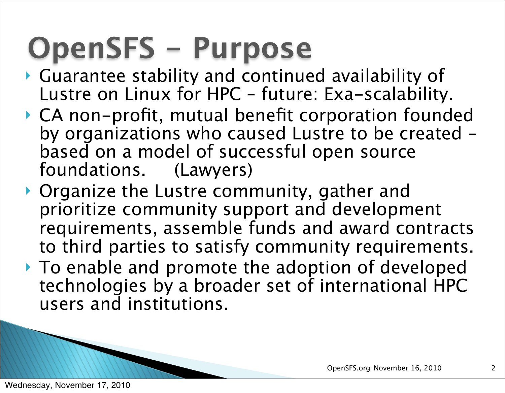## **OpenSFS - Purpose**

- Guarantee stability and continued availability of Lustre on Linux for HPC – future: Exa-scalability.
- CA non-profit, mutual benefit corporation founded by organizations who caused Lustre to be created – based on a model of successful open source foundations. (Lawyers)
- ▶ Organize the Lustre community, gather and prioritize community support and development requirements, assemble funds and award contracts to third parties to satisfy community requirements.
- ▶ To enable and promote the adoption of developed technologies by a broader set of international HPC users and institutions.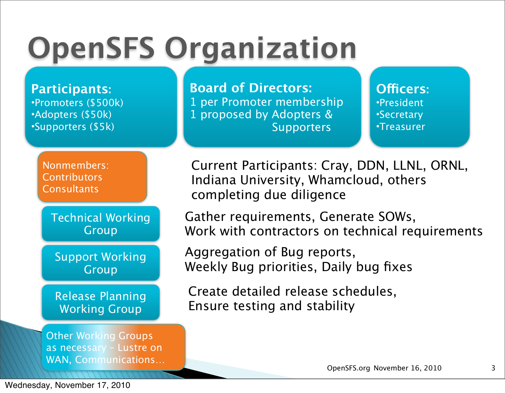## **OpenSFS Organization**

**Participants:**  •Promoters (\$500k) •Adopters (\$50k) •Supporters (\$5k)

> Nonmembers: **Contributors Consultants**

> > Technical Working Group

Support Working Group

Release Planning Working Group

Other Working Groups as necessary – Lustre on WAN, Communications… **Board of Directors:**

1 per Promoter membership 1 proposed by Adopters & **Supporters** 

**O!cers:** •President •Secretary •Treasurer

Current Participants: Cray, DDN, LLNL, ORNL, Indiana University, Whamcloud, others completing due diligence

Gather requirements, Generate SOWs, Work with contractors on technical requirements

Aggregation of Bug reports, Weekly Bug priorities, Daily bug fixes

Create detailed release schedules, Ensure testing and stability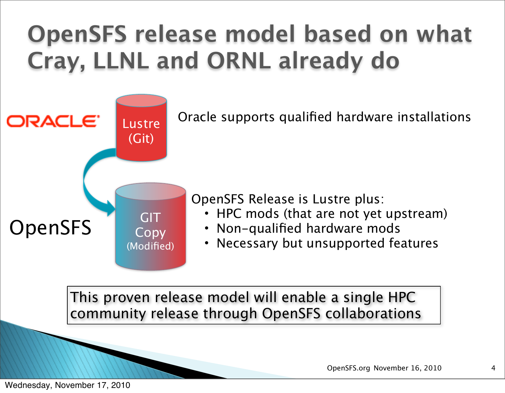#### **OpenSFS release model based on what Cray, LLNL and ORNL already do**



This proven release model will enable a single HPC community release through OpenSFS collaborations

OpenSFS.org November 16, 2010

Wednesday, November 17, 2010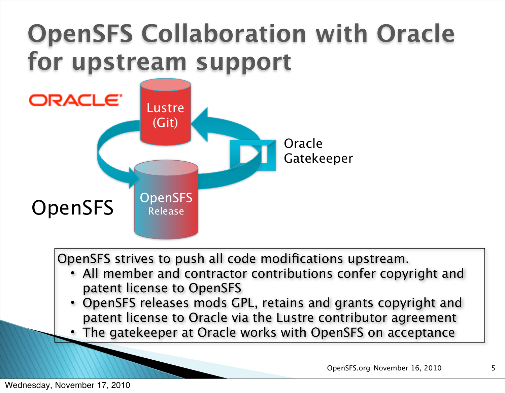#### **OpenSFS Collaboration with Oracle for upstream support**



OpenSFS strives to push all code modifications upstream.

- All member and contractor contributions confer copyright and patent license to OpenSFS
- OpenSFS releases mods GPL, retains and grants copyright and patent license to Oracle via the Lustre contributor agreement
- The gatekeeper at Oracle works with OpenSFS on acceptance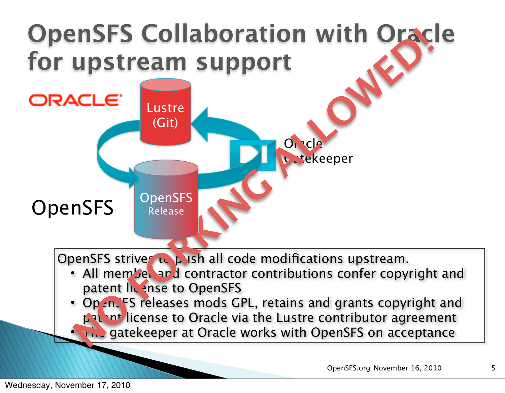

OpenSFS.org November 16, 2010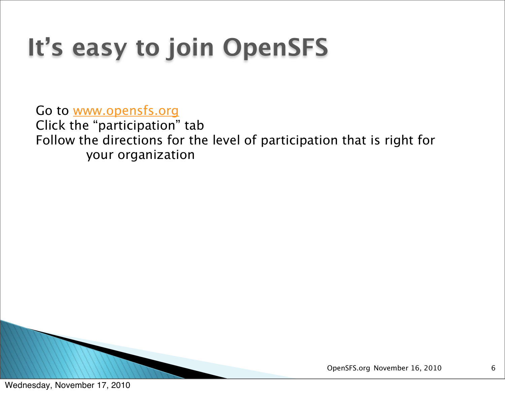### **It's easy to join OpenSFS**

Go to [www.opensfs.org](http://www.opensfs.org/) Click the "participation" tab Follow the directions for the level of participation that is right for your organization

OpenSFS.org November 16, 2010

6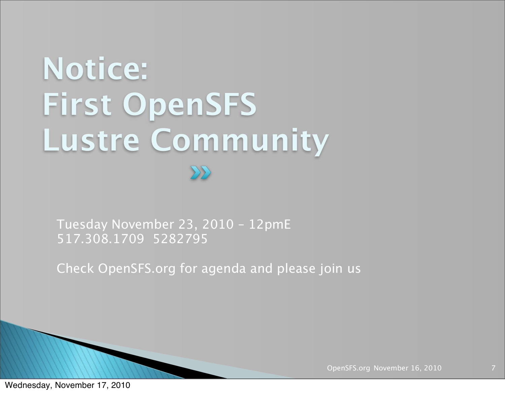# **Notice: First OpenSFS Lustre Community**

Tuesday November 23, 2010 – 12pmE 517.308.1709 5282795

Check OpenSFS.org for agenda and please join us

OpenSFS.org November 16, 2010